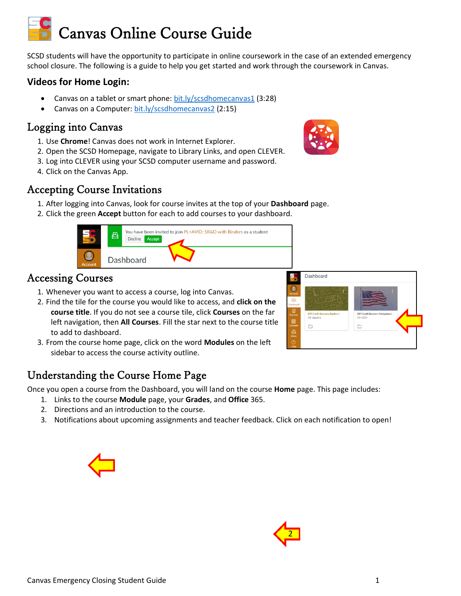# Canvas Online Course Guide

SCSD students will have the opportunity to participate in online coursework in the case of an extended emergency school closure. The following is a guide to help you get started and work through the coursework in Canvas.

### **Videos for Home Login:**

- Canvas on a tablet or smart phone: [bit.ly/scsdhomecanvas1](https://youtu.be/X-eBBTSldro) (3:28)
- Canvas on a Computer: [bit.ly/scsdhomecanvas2](https://bit.ly/scsdhomecanvas2) (2:15)

## Logging into Canvas

- 1. Use **Chrome**! Canvas does not work in Internet Explorer.
- 2. Open the SCSD Homepage, navigate to Library Links, and open CLEVER.
- 3. Log into CLEVER using your SCSD computer username and password.
- 4. Click on the Canvas App.

## Accepting Course Invitations

- 1. After logging into Canvas, look for course invites at the top of your **Dashboard** page.
- 2. Click the green **Accept** button for each to add courses to your dashboard.



## Accessing Courses

- 1. Whenever you want to access a course, log into Canvas.
- 2. Find the tile for the course you would like to access, and **click on the course title**. If you do not see a course tile, click **Courses** on the far left navigation, then **All Courses**. Fill the star next to the course title to add to dashboard.
- 3. From the course home page, click on the word **Modules** on the left sidebar to access the course activity outline.



## Understanding the Course Home Page

Once you open a course from the Dashboard, you will land on the course **Home** page. This page includes:

- 1. Links to the course **Module** page, your **Grades**, and **Office** 365.
- 2. Directions and an introduction to the course.
- 3. Notifications about upcoming assignments and teacher feedback. Click on each notification to open!



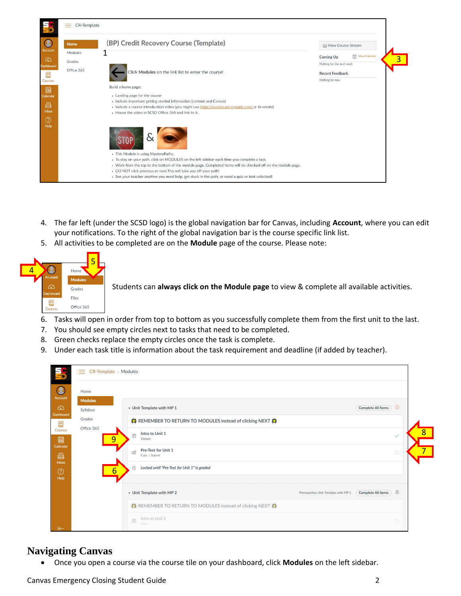

- 4. The far left (under the SCSD logo) is the global navigation bar for Canvas, including **Account**, where you can edit your notifications. To the right of the global navigation bar is the course specific link list.
- 5. All activities to be completed are on the **Module** page of the course. Please note:



Students can **always click on the Module page** to view & complete all available activities.

- 6. Tasks will open in order from top to bottom as you successfully complete them from the first unit to the last.
- 7. You should see empty circles next to tasks that need to be completed.
- 8. Green checks replace the empty circles once the task is complete.
- 9. Under each task title is information about the task requirement and deadline (if added by teacher).

| $\bullet$         | Home               |   |                                                                     |                           |              |  |
|-------------------|--------------------|---|---------------------------------------------------------------------|---------------------------|--------------|--|
| Account<br>෬      | <b>Modules</b>     |   | • Unit Template with MP 1                                           | <b>Complete All Items</b> | $\Theta$     |  |
| Dashboard         | Syllabus<br>Grades |   | ※ REMEMBER TO RETURN TO MODULES instead of clicking NEXT ※          |                           |              |  |
| 冒<br>Courses<br>圖 | Office 365         | 9 | Intro to Unit 1<br>目<br>Viewed                                      |                           | $\checkmark$ |  |
| Calendar<br>画     |                    |   | Pre-Test for Unit 1<br>$\mathcal{Q}$<br>0 pts   Submit              |                           | $\bigcirc$   |  |
| Inbox<br>$\odot$  |                    | 6 | Locked until "Pre-Test for Unit 1" is graded<br>$\overline{a}$      |                           |              |  |
| Help              |                    |   | • Unit Template with MP 2<br>Prerequisites: Unit Template with MP 1 | <b>Complete All Items</b> | $\theta$     |  |
|                   |                    |   | ※ REMEMBER TO RETURN TO MODULES instead of clicking NEXT ※          |                           |              |  |
|                   |                    |   | Intro to Unit 2<br>$\mathbb{P}$<br>View                             |                           | $\bigcirc$   |  |

#### **Navigating Canvas**

• Once you open a course via the course tile on your dashboard, click **Modules** on the left sidebar.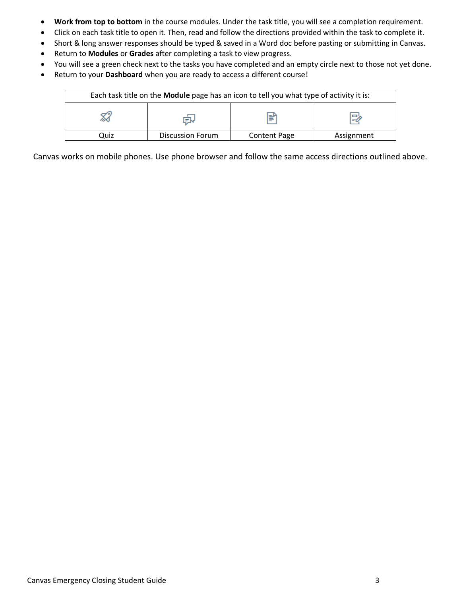- **Work from top to bottom** in the course modules. Under the task title, you will see a completion requirement.
- Click on each task title to open it. Then, read and follow the directions provided within the task to complete it.
- Short & long answer responses should be typed & saved in a Word doc before pasting or submitting in Canvas.
- Return to **Modules** or **Grades** after completing a task to view progress.
- You will see a green check next to the tasks you have completed and an empty circle next to those not yet done.
- Return to your **Dashboard** when you are ready to access a different course!

|      | Each task title on the <b>Module</b> page has an icon to tell you what type of activity it is: |                     |            |
|------|------------------------------------------------------------------------------------------------|---------------------|------------|
|      | l=W                                                                                            | ⊯                   | 戌          |
| Quiz | <b>Discussion Forum</b>                                                                        | <b>Content Page</b> | Assignment |

Canvas works on mobile phones. Use phone browser and follow the same access directions outlined above.